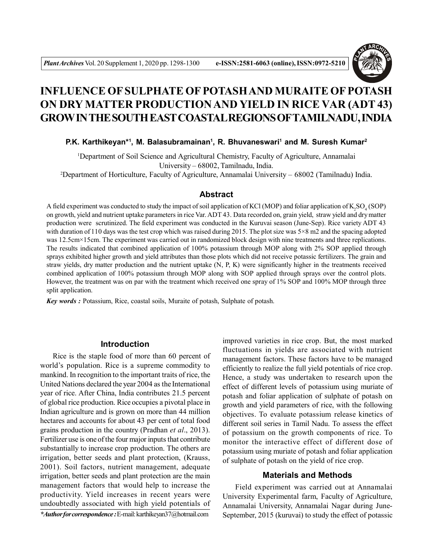

# **INFLUENCE OF SULPHATE OF POTASH AND MURAITE OF POTASH ON DRY MATTER PRODUCTION AND YIELD IN RICE VAR (ADT 43) GROW IN THE SOUTH EAST COASTAL REGIONS OFTAMILNADU, INDIA**

## **P.K. Karthikeyan\*<sup>1</sup> , M. Balasubramainan<sup>1</sup> , R. Bhuvaneswari<sup>1</sup> and M. Suresh Kumar<sup>2</sup>**

<sup>1</sup>Department of Soil Science and Agricultural Chemistry, Faculty of Agriculture, Annamalai University – 68002, Tamilnadu, India.

<sup>2</sup>Department of Horticulture, Faculty of Agriculture, Annamalai University – 68002 (Tamilnadu) India.

# **Abstract**

A field experiment was conducted to study the impact of soil application of KCl (MOP) and foliar application of  $K_2SO_4(SOP)$ on growth, yield and nutrient uptake parameters in rice Var. ADT 43. Data recorded on, grain yield, straw yield and dry matter production were scrutinized. The field experiment was conducted in the Kuruvai season (June-Sep). Rice variety ADT 43 with duration of 110 days was the test crop which was raised during 2015. The plot size was  $5\times 8$  m2 and the spacing adopted was 12.5cm×15cm. The experiment was carried out in randomized block design with nine treatments and three replications. The results indicated that combined application of 100% potassium through MOP along with 2% SOP applied through sprays exhibited higher growth and yield attributes than those plots which did not receive potassic fertilizers. The grain and straw yields, dry matter production and the nutrient uptake (N, P, K) were significantly higher in the treatments received combined application of 100% potassium through MOP along with SOP applied through sprays over the control plots. However, the treatment was on par with the treatment which received one spray of 1% SOP and 100% MOP through three split application.

*Key words :* Potassium, Rice, coastal soils, Muraite of potash, Sulphate of potash.

#### **Introduction**

Rice is the staple food of more than 60 percent of world's population. Rice is a supreme commodity to mankind. In recognition to the important traits of rice, the United Nations declared the year 2004 as the International year of rice. After China, India contributes 21.5 percent of global rice production. Rice occupies a pivotal place in Indian agriculture and is grown on more than 44 million hectares and accounts for about 43 per cent of total food grains production in the country (Pradhan *et al*., 2013). Fertilizer use is one of the four major inputs that contribute substantially to increase crop production. The others are irrigation, better seeds and plant protection, (Krauss, 2001). Soil factors, nutrient management, adequate irrigation, better seeds and plant protection are the main management factors that would help to increase the productivity. Yield increases in recent years were undoubtedly associated with high yield potentials of *\*Author for correspondence :* E-mail: karthikeyan37@hotmail.com

improved varieties in rice crop. But, the most marked fluctuations in yields are associated with nutrient management factors. These factors have to be managed efficiently to realize the full yield potentials of rice crop. Hence, a study was undertaken to research upon the effect of different levels of potassium using muriate of potash and foliar application of sulphate of potash on growth and yield parameters of rice, with the following objectives. To evaluate potassium release kinetics of different soil series in Tamil Nadu. To assess the effect of potassium on the growth components of rice. To monitor the interactive effect of different dose of potassium using muriate of potash and foliar application of sulphate of potash on the yield of rice crop.

## **Materials and Methods**

Field experiment was carried out at Annamalai University Experimental farm, Faculty of Agriculture, Annamalai University, Annamalai Nagar during June-September, 2015 (kuruvai) to study the effect of potassic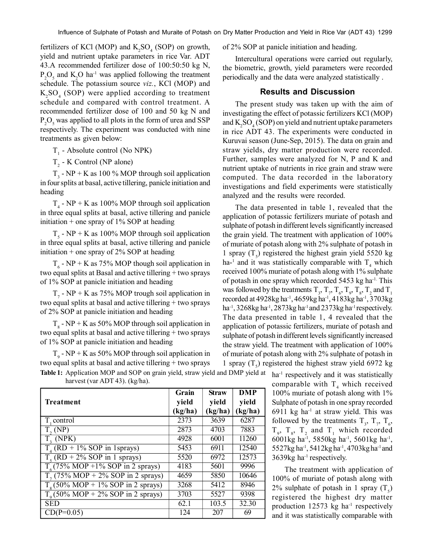fertilizers of KCl (MOP) and  $K_2SO_4$  (SOP) on growth, yield and nutrient uptake parameters in rice Var. ADT 43.A recommended fertilizer dose of 100:50:50 kg N,  $P_2O_5$  and  $K_2O$  ha<sup>-1</sup> was applied following the treatment schedule. The potassium source *viz.*, KCl (MOP) and  $K_2SO_4$  (SOP) were applied according to treatment schedule and compared with control treatment. A recommended fertilizer dose of 100 and 50 kg N and  $P_2O_5$  was applied to all plots in the form of urea and SSP respectively. The experiment was conducted with nine treatments as given below:

 $T<sub>1</sub>$  - Absolute control (No NPK)

 $T<sub>2</sub>$  - K Control (NP alone)

 $T_3$  - NP + K as 100 % MOP through soil application in four splits at basal, active tillering, panicle initiation and heading

 $T_4$  - NP + K as 100% MOP through soil application in three equal splits at basal, active tillering and panicle initiation  $+$  one spray of 1% SOP at heading

 $T_s$  - NP + K as 100% MOP through soil application in three equal splits at basal, active tillering and panicle initiation + one spray of 2% SOP at heading

 $T_6$  - NP + K as 75% MOP though soil application in two equal splits at Basal and active tillering + two sprays of 1% SOP at panicle initiation and heading

 $T_7$  - NP + K as 75% MOP trough soil application in two equal splits at basal and active tillering + two sprays of 2% SOP at panicle initiation and heading

 $T<sub>8</sub>$  - NP + K as 50% MOP through soil application in two equal splits at basal and active tillering + two sprays of 1% SOP at panicle initiation and heading

 $T_9$  - NP + K as 50% MOP through soil application in two equal splits at basal and active tillering + two sprays of 2% SOP at panicle initiation and heading.

Intercultural operations were carried out regularly, the biometric, growth, yield parameters were recorded periodically and the data were analyzed statistically .

#### **Results and Discussion**

The present study was taken up with the aim of investigating the effect of potassic fertilizers KCl (MOP) and  $K_2SO_4(SOP)$  on yield and nutrient uptake parameters in rice ADT 43. The experiments were conducted in Kuruvai season (June-Sep, 2015). The data on grain and straw yields, dry matter production were recorded. Further, samples were analyzed for N, P and K and nutrient uptake of nutrients in rice grain and straw were computed. The data recorded in the laboratory investigations and field experiments were statistically analyzed and the results were recorded.

The data presented in table 1, revealed that the application of potassic fertilizers muriate of potash and sulphate of potash in different levels significantly increased the grain yield. The treatment with application of 100% of muriate of potash along with 2% sulphate of potash in 1 spray  $(T_5)$  registered the highest grain yield 5520 kg ha-<sup>1</sup> and it was statistically comparable with  $T_4$  which received 100% muriate of potash along with 1% sulphate of potash in one spray which recorded 5453 kg ha-1. This was followed by the treatments  $T_3$ ,  $T_7$ ,  $T_6$ ,  $T_9$ ,  $T_8$ ,  $T_2$  and  $T_1$ recorded at 4928kg ha-1, 4659kg ha-1, 4183kg ha-1, 3703kg ha<sup>-1</sup>, 3268kg ha<sup>-1</sup>, 2873kg ha<sup>-1</sup> and 2373kg ha<sup>-1</sup> respectively. The data presented in table 1, 4 revealed that the application of potassic fertilizers, muriate of potash and sulphate of potash in different levels significantly increased the straw yield. The treatment with application of 100% of muriate of potash along with 2% sulphate of potash in 1 spray  $(T_5)$  registered the highest straw yield 6972 kg

> $ha<sup>-1</sup>$  respectively and it was statistically comparable with  $T_4$  which received 100% muriate of potash along with 1% Sulphate of potash in one spray recorded 6911 kg ha $^{-1}$  at straw yield. This was followed by the treatments  $T_3$ ,  $T_7$ ,  $T_6$ ,  $T_9$ ,  $T_8$ ,  $T_2$  and  $T_1$  which recorded 6001kg ha<sup>-1</sup>, 5850kg ha<sup>-1</sup>, 5601kg ha<sup>-1</sup>, 5527kg ha-1, 5412kg ha-1, 4703kg ha-1 and 3639kg ha-1 respectively.

> The treatment with application of 100% of muriate of potash along with 2% sulphate of potash in 1 spray  $(T<sub>5</sub>)$ registered the highest dry matter production  $12573$  kg ha<sup>-1</sup> respectively and it was statistically comparable with

| Table 1: Application MOP and SOP on grain yield, straw yield and DMP yield at |  |  |  |
|-------------------------------------------------------------------------------|--|--|--|
| harvest (var ADT 43). $(kg/ha)$ .                                             |  |  |  |

|                                        | Grain   | <b>Straw</b> | <b>DMP</b> |
|----------------------------------------|---------|--------------|------------|
| <b>Treatment</b>                       | yield   | yield        | yield      |
|                                        | (kg/ha) | kg/ha)       | (kg/ha)    |
| T. control                             | 2373    | 3639         | 6287       |
| $T_{2}(\overline{NP})$                 | 2873    | 4703         | 7883       |
| (NPK)                                  | 4928    | 6001         | 11260      |
| $T_{4}$ (RD + 1% SOP in 1sprays)       | 5453    | 6911         | 12540      |
| $T_s$ (RD + 2% SOP in 1 sprays)        | 5520    | 6972         | 12573      |
| $T_c$ (75% MOP +1% SOP in 2 sprays)    | 4183    | 5601         | 9996       |
| $T_{7}$ (75% MOP + 2% SOP in 2 sprays) | 4659    | 5850         | 10646      |
| $T0(50\% MOP + 1\% SOP in 2 sprays)$   | 3268    | 5412         | 8946       |
| $T0(50\% MOP + 2\% SOP in 2 sprays)$   | 3703    | 5527         | 9398       |
| <b>SED</b>                             | 62.1    | 103.5        | 32.30      |
| $CD(P=0.05)$                           | 124     | 207          | 69         |